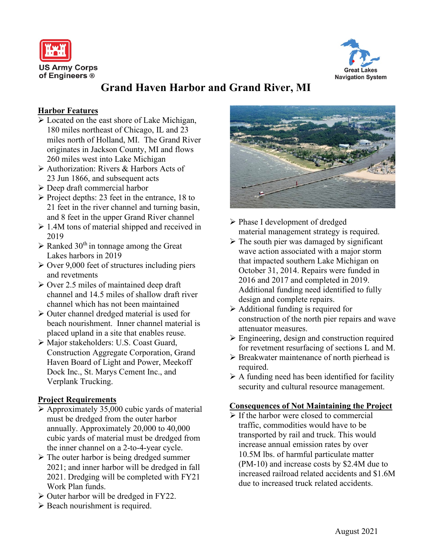



# **Grand Haven Harbor and Grand River, MI**

# **Harbor Features**

- $\triangleright$  Located on the east shore of Lake Michigan, 180 miles northeast of Chicago, IL and 23 miles north of Holland, MI. The Grand River originates in Jackson County, MI and flows 260 miles west into Lake Michigan
- Authorization: Rivers & Harbors Acts of 23 Jun 1866, and subsequent acts
- Deep draft commercial harbor
- $\triangleright$  Project depths: 23 feet in the entrance, 18 to 21 feet in the river channel and turning basin, and 8 feet in the upper Grand River channel
- $\geq 1.4M$  tons of material shipped and received in 2019
- $\triangleright$  Ranked 30<sup>th</sup> in tonnage among the Great Lakes harbors in 2019
- $\geq$  Over 9,000 feet of structures including piers and revetments
- $\geq$  Over 2.5 miles of maintained deep draft channel and 14.5 miles of shallow draft river channel which has not been maintained
- $\triangleright$  Outer channel dredged material is used for beach nourishment. Inner channel material is placed upland in a site that enables reuse.
- Major stakeholders: U.S. Coast Guard, Construction Aggregate Corporation, Grand Haven Board of Light and Power, Meekoff Dock Inc., St. Marys Cement Inc., and Verplank Trucking.

## **Project Requirements**

- $\triangleright$  Approximately 35,000 cubic yards of material must be dredged from the outer harbor annually. Approximately 20,000 to 40,000 cubic yards of material must be dredged from the inner channel on a 2-to-4-year cycle.
- $\triangleright$  The outer harbor is being dredged summer 2021; and inner harbor will be dredged in fall 2021. Dredging will be completed with FY21 Work Plan funds.
- $\triangleright$  Outer harbor will be dredged in FY22.
- $\triangleright$  Beach nourishment is required.



- Phase I development of dredged material management strategy is required.
- $\triangleright$  The south pier was damaged by significant wave action associated with a major storm that impacted southern Lake Michigan on October 31, 2014. Repairs were funded in 2016 and 2017 and completed in 2019. Additional funding need identified to fully design and complete repairs.
- Additional funding is required for construction of the north pier repairs and wave attenuator measures.
- Engineering, design and construction required for revetment resurfacing of sections L and M.
- $\triangleright$  Breakwater maintenance of north pierhead is required.
- $\triangleright$  A funding need has been identified for facility security and cultural resource management.

## **Consequences of Not Maintaining the Project**

 $\triangleright$  If the harbor were closed to commercial traffic, commodities would have to be transported by rail and truck. This would increase annual emission rates by over 10.5M lbs. of harmful particulate matter (PM-10) and increase costs by \$2.4M due to increased railroad related accidents and \$1.6M due to increased truck related accidents.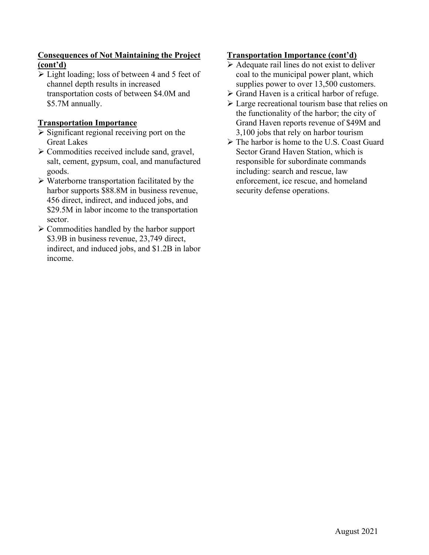# **Consequences of Not Maintaining the Project (cont'd)**

 $\triangleright$  Light loading; loss of between 4 and 5 feet of channel depth results in increased transportation costs of between \$4.0M and \$5.7M annually.

# **Transportation Importance**

- $\triangleright$  Significant regional receiving port on the Great Lakes
- $\triangleright$  Commodities received include sand, gravel, salt, cement, gypsum, coal, and manufactured goods.
- $\triangleright$  Waterborne transportation facilitated by the harbor supports \$88.8M in business revenue, 456 direct, indirect, and induced jobs, and \$29.5M in labor income to the transportation sector.
- $\triangleright$  Commodities handled by the harbor support \$3.9B in business revenue, 23,749 direct, indirect, and induced jobs, and \$1.2B in labor income.

## **Transportation Importance (cont'd)**

- $\triangleright$  Adequate rail lines do not exist to deliver coal to the municipal power plant, which supplies power to over 13,500 customers.
- $\triangleright$  Grand Haven is a critical harbor of refuge.
- $\triangleright$  Large recreational tourism base that relies on the functionality of the harbor; the city of Grand Haven reports revenue of \$49M and 3,100 jobs that rely on harbor tourism
- $\triangleright$  The harbor is home to the U.S. Coast Guard Sector Grand Haven Station, which is responsible for subordinate commands including: search and rescue, law enforcement, ice rescue, and homeland security defense operations.